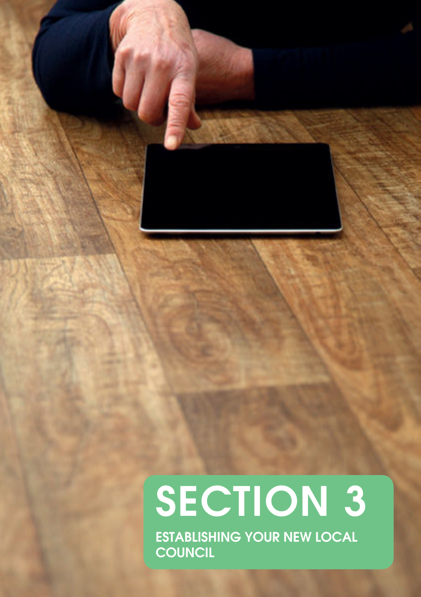# SECTION 3

ESTABLISHING YOUR NEW LOCAL **COUNCIL**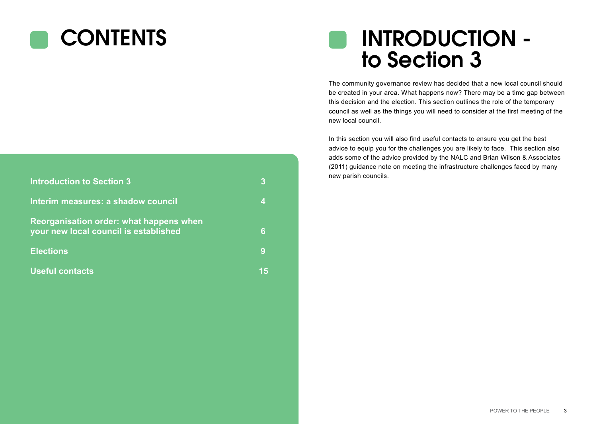# **CONTENTS**

# INTRODUCTION to Section 3

The community governance review has decided that a new local council should be created in your area. What happens now? There may be a time gap between this decision and the election. This section outlines the role of the temporary council as well as the things you will need to consider at the first meeting of the new local council.

In this section you will also find useful contacts to ensure you get the best advice to equip you for the challenges you are likely to face. This section also adds some of the advice provided by the NALC and Brian Wilson & Associates (2011) guidance note on meeting the infrastructure challenges faced by many new parish councils.

| <b>Introduction to Section 3</b>                                                 | 3  |
|----------------------------------------------------------------------------------|----|
| Interim measures: a shadow council                                               | Δ  |
| Reorganisation order: what happens when<br>your new local council is established | 6  |
| <b>Elections</b>                                                                 | 9  |
| <b>Useful contacts</b>                                                           | 15 |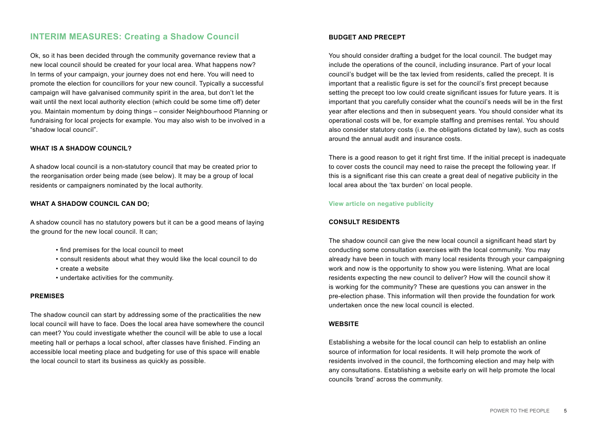# **INTERIM MEASURES: Creating a Shadow Council**

Ok, so it has been decided through the community governance review that a new local council should be created for your local area. What happens now? In terms of your campaign, your journey does not end here. You will need to promote the election for councillors for your new council. Typically a successful campaign will have galvanised community spirit in the area, but don't let the wait until the next local authority election (which could be some time off) deter you. Maintain momentum by doing things – consider Neighbourhood Planning or fundraising for local projects for example. You may also wish to be involved in a "shadow local council".

# **WHAT IS A SHADOW COUNCIL?**

A shadow local council is a non-statutory council that may be created prior to the reorganisation order being made (see below). It may be a group of local residents or campaigners nominated by the local authority.

# **WHAT A SHADOW COUNCIL CAN DO;**

A shadow council has no statutory powers but it can be a good means of laying the ground for the new local council. It can;

- find premises for the local council to meet
- consult residents about what they would like the local council to do
- create a website
- undertake activities for the community.

# **PREMISES**

The shadow council can start by addressing some of the practicalities the new local council will have to face. Does the local area have somewhere the council can meet? You could investigate whether the council will be able to use a local meeting hall or perhaps a local school, after classes have finished. Finding an accessible local meeting place and budgeting for use of this space will enable the local council to start its business as quickly as possible.

# **BUDGET AND PRECEPT**

You should consider drafting a budget for the local council. The budget may include the operations of the council, including insurance. Part of your local council's budget will be the tax levied from residents, called the precept. It is important that a realistic figure is set for the council's first precept because setting the precept too low could create significant issues for future years. It is important that you carefully consider what the council's needs will be in the first year after elections and then in subsequent years. You should consider what its operational costs will be, for example staffing and premises rental. You should also consider statutory costs (i.e. the obligations dictated by law), such as costs around the annual audit and insurance costs.

There is a good reason to get it right first time. If the initial precept is inadequate to cover costs the council may need to raise the precept the following year. If this is a significant rise this can create a great deal of negative publicity in the local area about the 'tax burden' on local people.

# **[View article on negative publicity](http://www.lgcplus.com/news/parish-referendum-could-endlocalism/5066538.article)**

# **CONSULT RESIDENTS**

The shadow council can give the new local council a significant head start by conducting some consultation exercises with the local community. You may already have been in touch with many local residents through your campaigning work and now is the opportunity to show you were listening. What are local residents expecting the new council to deliver? How will the council show it is working for the community? These are questions you can answer in the pre-election phase. This information will then provide the foundation for work undertaken once the new local council is elected.

# **WEBSITE**

Establishing a website for the local council can help to establish an online source of information for local residents. It will help promote the work of residents involved in the council, the forthcoming election and may help with any consultations. Establishing a website early on will help promote the local councils 'brand' across the community.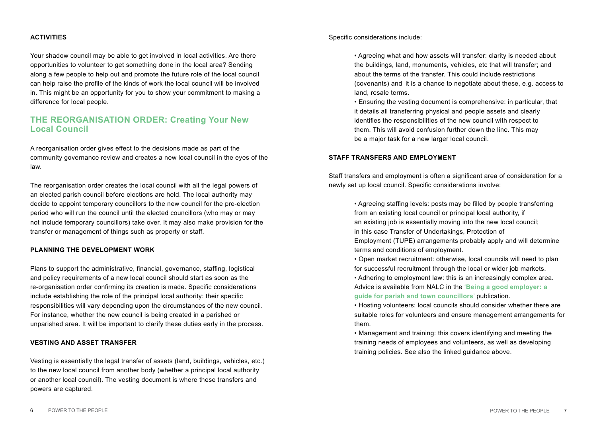# **ACTIVITIES**

Your shadow council may be able to get involved in local activities. Are there opportunities to volunteer to get something done in the local area? Sending along a few people to help out and promote the future role of the local council can help raise the profile of the kinds of work the local council will be involved in. This might be an opportunity for you to show your commitment to making a difference for local people.

# **THE REORGANISATION ORDER: Creating Your New Local Council**

A reorganisation order gives effect to the decisions made as part of the community governance review and creates a new local council in the eyes of the law.

The reorganisation order creates the local council with all the legal powers of an elected parish council before elections are held. The local authority may decide to appoint temporary councillors to the new council for the pre-election period who will run the council until the elected councillors (who may or may not include temporary councillors) take over. It may also make provision for the transfer or management of things such as property or staff.

# **PLANNING THE DEVELOPMENT WORK**

Plans to support the administrative, financial, governance, staffing, logistical and policy requirements of a new local council should start as soon as the re-organisation order confirming its creation is made. Specific considerations include establishing the role of the principal local authority: their specific responsibilities will vary depending upon the circumstances of the new council. For instance, whether the new council is being created in a parished or unparished area. It will be important to clarify these duties early in the process.

#### **VESTING AND ASSET TRANSFER**

Vesting is essentially the legal transfer of assets (land, buildings, vehicles, etc.) to the new local council from another body (whether a principal local authority or another local council). The vesting document is where these transfers and powers are captured.

Specific considerations include:

 • Agreeing what and how assets will transfer: clarity is needed about the buildings, land, monuments, vehicles, etc that will transfer; and about the terms of the transfer. This could include restrictions (covenants) and it is a chance to negotiate about these, e.g. access to land, resale terms.

 • Ensuring the vesting document is comprehensive: in particular, that it details all transferring physical and people assets and clearly identifies the responsibilities of the new council with respect to them. This will avoid confusion further down the line. This may be a major task for a new larger local council.

### **STAFF TRANSFERS AND EMPLOYMENT**

Staff transfers and employment is often a significant area of consideration for a newly set up local council. Specific considerations involve:

> • Agreeing staffing levels: posts may be filled by people transferring from an existing local council or principal local authority, if an existing job is essentially moving into the new local council; in this case Transfer of Undertakings, Protection of Employment (TUPE) arrangements probably apply and will determine terms and conditions of employment.

> • Open market recruitment: otherwise, local councils will need to plan for successful recruitment through the local or wider job markets.

 • Adhering to employment law: this is an increasingly complex area. Advice is available from NALC in the '**[Being a good employer: a](http://www.nalc.gov.uk/publications)   [guide for parish and town councillors](http://www.nalc.gov.uk/publications)**' publication.

 • Hosting volunteers: local councils should consider whether there are suitable roles for volunteers and ensure management arrangements for them.

 • Management and training: this covers identifying and meeting the training needs of employees and volunteers, as well as developing training policies. See also the linked guidance above.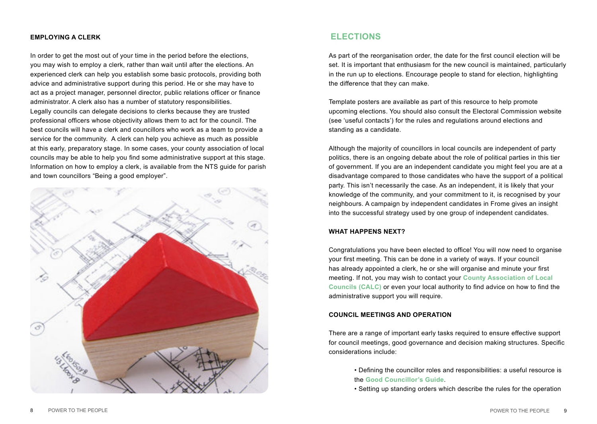# **EMPLOYING A CLERK**

In order to get the most out of your time in the period before the elections, you may wish to employ a clerk, rather than wait until after the elections. An experienced clerk can help you establish some basic protocols, providing both advice and administrative support during this period. He or she may have to act as a project manager, personnel director, public relations officer or finance administrator. A clerk also has a number of statutory responsibilities. Legally councils can delegate decisions to clerks because they are trusted professional officers whose objectivity allows them to act for the council. The best councils will have a clerk and councillors who work as a team to provide a service for the community. A clerk can help you achieve as much as possible at this early, preparatory stage. In some cases, your county association of local councils may be able to help you find some administrative support at this stage. Information on how to employ a clerk, is available from the NTS guide for parish and town councillors "Being a good employer".



# **ELECTIONS**

As part of the reorganisation order, the date for the first council election will be set. It is important that enthusiasm for the new council is maintained, particularly in the run up to elections. Encourage people to stand for election, highlighting the difference that they can make.

Template posters are available as part of this resource to help promote upcoming elections. You should also consult the Electoral Commission website (see 'useful contacts') for the rules and regulations around elections and standing as a candidate.

Although the majority of councillors in local councils are independent of party politics, there is an ongoing debate about the role of political parties in this tier of government. If you are an independent candidate you might feel you are at a disadvantage compared to those candidates who have the support of a political party. This isn't necessarily the case. As an independent, it is likely that your knowledge of the community, and your commitment to it, is recognised by your neighbours. A campaign by independent candidates in Frome gives an insight into the successful strategy used by one group of independent candidates.

# **WHAT HAPPENS NEXT?**

Congratulations you have been elected to office! You will now need to organise your first meeting. This can be done in a variety of ways. If your council has already appointed a clerk, he or she will organise and minute your first meeting. If not, you may wish to contact your **[County Association of Local](http://www.nalc.gov.uk/about-county-associations)  [Councils \(CALC\)](http://www.nalc.gov.uk/about-county-associations)** or even your local authority to find advice on how to find the administrative support you will require.

# **COUNCIL MEETINGS AND OPERATION**

There are a range of important early tasks required to ensure effective support for council meetings, good governance and decision making structures. Specific considerations include:

- Defining the councillor roles and responsibilities: a useful resource is the **[Good Councillor's Guide](http://www.nalc.gov.uk/library/publications/801-good-councillors-guide/file)**.
- Setting up standing orders which describe the rules for the operation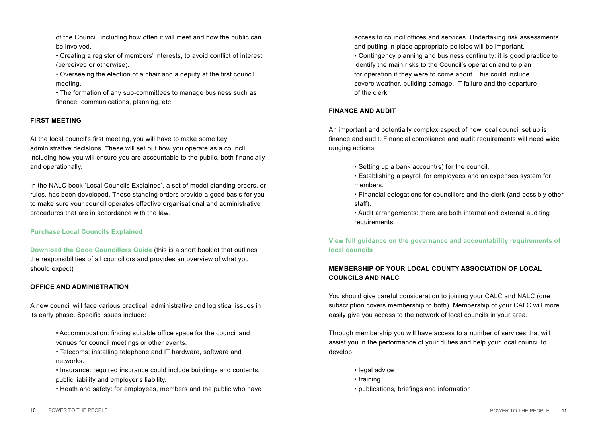of the Council, including how often it will meet and how the public can be involved.

 • Creating a register of members' interests, to avoid conflict of interest (perceived or otherwise).

 • Overseeing the election of a chair and a deputy at the first council meeting.

 • The formation of any sub-committees to manage business such as finance, communications, planning, etc.

# **FIRST MEETING**

At the local council's first meeting, you will have to make some key administrative decisions. These will set out how you operate as a council, including how you will ensure you are accountable to the public, both financially and operationally.

In the NALC book 'Local Councils Explained', a set of model standing orders, or rules, has been developed. These standing orders provide a good basis for you to make sure your council operates effective organisational and administrative procedures that are in accordance with the law.

# **[Purchase Local Councils Explained](http://www.nalc.gov.uk/publications)**

**[Download the Good Councillors Guide](http://www.nalc.gov.uk/library/publications/801-good-councillors-guide/file)** (this is a short booklet that outlines the responsibilities of all councillors and provides an overview of what you should expect)

# **OFFICE AND ADMINISTRATION**

A new council will face various practical, administrative and logistical issues in its early phase. Specific issues include:

> • Accommodation: finding suitable office space for the council and venues for council meetings or other events.

 • Telecoms: installing telephone and IT hardware, software and networks.

 • Insurance: required insurance could include buildings and contents, public liability and employer's liability.

• Heath and safety: for employees, members and the public who have

 access to council offices and services. Undertaking risk assessments and putting in place appropriate policies will be important.

 • Contingency planning and business continuity: it is good practice to identify the main risks to the Council's operation and to plan for operation if they were to come about. This could include severe weather, building damage, IT failure and the departure of the clerk.

# **FINANCE AND AUDIT**

An important and potentially complex aspect of new local council set up is finance and audit. Financial compliance and audit requirements will need wide ranging actions:

- Setting up a bank account(s) for the council.
- Establishing a payroll for employees and an expenses system for members.
- Financial delegations for councillors and the clerk (and possibly other staff).
- Audit arrangements: there are both internal and external auditing requirements.

**[View full guidance on the governance and accountability requirements of](http://www.nalc.gov.uk/library/publications/803-governance-and-accounability-with-appendix/file)  [local councils](http://www.nalc.gov.uk/library/publications/803-governance-and-accounability-with-appendix/file)**

# **MEMBERSHIP OF YOUR LOCAL COUNTY ASSOCIATION OF LOCAL COUNCILS AND NALC**

You should give careful consideration to joining your CALC and NALC (one subscription covers membership to both). Membership of your CALC will more easily give you access to the network of local councils in your area.

Through membership you will have access to a number of services that will assist you in the performance of your duties and help your local council to develop:

- legal advice
- training
- publications, briefings and information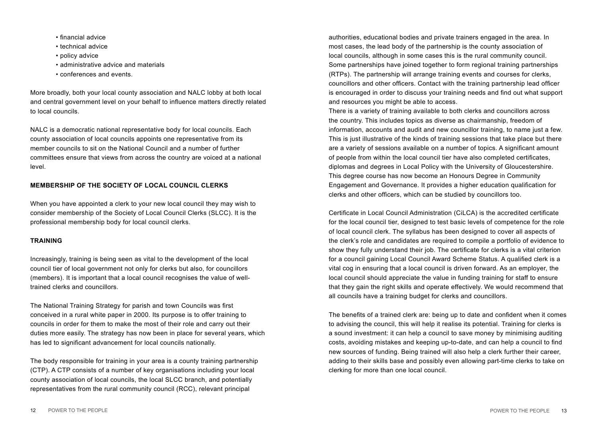- financial advice
- technical advice
- policy advice
- administrative advice and materials
- conferences and events.

More broadly, both your local county association and NALC lobby at both local and central government level on your behalf to influence matters directly related to local councils.

NALC is a democratic national representative body for local councils. Each county association of local councils appoints one representative from its member councils to sit on the National Council and a number of further committees ensure that views from across the country are voiced at a national level.

# **MEMBERSHIP OF THE SOCIETY OF LOCAL COUNCIL CLERKS**

When you have appointed a clerk to your new local council they may wish to consider membership of the Society of Local Council Clerks (SLCC). It is the professional membership body for local council clerks.

# **TRAINING**

Increasingly, training is being seen as vital to the development of the local council tier of local government not only for clerks but also, for councillors (members). It is important that a local council recognises the value of welltrained clerks and councillors.

The National Training Strategy for parish and town Councils was first conceived in a rural white paper in 2000. Its purpose is to offer training to councils in order for them to make the most of their role and carry out their duties more easily. The strategy has now been in place for several years, which has led to significant advancement for local councils nationally.

The body responsible for training in your area is a county training partnership (CTP). A CTP consists of a number of key organisations including your local county association of local councils, the local SLCC branch, and potentially representatives from the rural community council (RCC), relevant principal

authorities, educational bodies and private trainers engaged in the area. In most cases, the lead body of the partnership is the county association of local councils, although in some cases this is the rural community council. Some partnerships have joined together to form regional training partnerships (RTPs). The partnership will arrange training events and courses for clerks, councillors and other officers. Contact with the training partnership lead officer is encouraged in order to discuss your training needs and find out what support and resources you might be able to access.

There is a variety of training available to both clerks and councillors across the country. This includes topics as diverse as chairmanship, freedom of information, accounts and audit and new councillor training, to name just a few. This is just illustrative of the kinds of training sessions that take place but there are a variety of sessions available on a number of topics. A significant amount of people from within the local council tier have also completed certificates, diplomas and degrees in Local Policy with the University of Gloucestershire. This degree course has now become an Honours Degree in Community Engagement and Governance. It provides a higher education qualification for clerks and other officers, which can be studied by councillors too.

Certificate in Local Council Administration (CiLCA) is the accredited certificate for the local council tier, designed to test basic levels of competence for the role of local council clerk. The syllabus has been designed to cover all aspects of the clerk's role and candidates are required to compile a portfolio of evidence to show they fully understand their job. The certificate for clerks is a vital criterion for a council gaining Local Council Award Scheme Status. A qualified clerk is a vital cog in ensuring that a local council is driven forward. As an employer, the local council should appreciate the value in funding training for staff to ensure that they gain the right skills and operate effectively. We would recommend that all councils have a training budget for clerks and councillors.

The benefits of a trained clerk are: being up to date and confident when it comes to advising the council, this will help it realise its potential. Training for clerks is a sound investment: it can help a council to save money by minimising auditing costs, avoiding mistakes and keeping up-to-date, and can help a council to find new sources of funding. Being trained will also help a clerk further their career, adding to their skills base and possibly even allowing part-time clerks to take on clerking for more than one local council.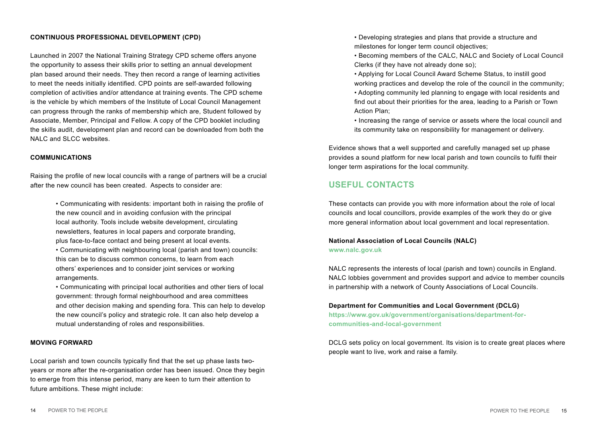# **CONTINUOUS PROFESSIONAL DEVELOPMENT (CPD)**

Launched in 2007 the National Training Strategy CPD scheme offers anyone the opportunity to assess their skills prior to setting an annual development plan based around their needs. They then record a range of learning activities to meet the needs initially identified. CPD points are self-awarded following completion of activities and/or attendance at training events. The CPD scheme is the vehicle by which members of the Institute of Local Council Management can progress through the ranks of membership which are, Student followed by Associate, Member, Principal and Fellow. A copy of the CPD booklet including the skills audit, development plan and record can be downloaded from both the NALC and SLCC websites.

#### **COMMUNICATIONS**

Raising the profile of new local councils with a range of partners will be a crucial after the new council has been created. Aspects to consider are:

> • Communicating with residents: important both in raising the profile of the new council and in avoiding confusion with the principal local authority. Tools include website development, circulating newsletters, features in local papers and corporate branding, plus face-to-face contact and being present at local events.

 • Communicating with neighbouring local (parish and town) councils: this can be to discuss common concerns, to learn from each others' experiences and to consider joint services or working arrangements.

 • Communicating with principal local authorities and other tiers of local government: through formal neighbourhood and area committees and other decision making and spending fora. This can help to develop the new council's policy and strategic role. It can also help develop a mutual understanding of roles and responsibilities.

#### **MOVING FORWARD**

Local parish and town councils typically find that the set up phase lasts twoyears or more after the re-organisation order has been issued. Once they begin to emerge from this intense period, many are keen to turn their attention to future ambitions. These might include:

 • Developing strategies and plans that provide a structure and milestones for longer term council objectives;

 • Becoming members of the CALC, NALC and Society of Local Council Clerks (if they have not already done so);

 • Applying for Local Council Award Scheme Status, to instill good working practices and develop the role of the council in the community; • Adopting community led planning to engage with local residents and find out about their priorities for the area, leading to a Parish or Town Action Plan;

 • Increasing the range of service or assets where the local council and its community take on responsibility for management or delivery.

Evidence shows that a well supported and carefully managed set up phase provides a sound platform for new local parish and town councils to fulfil their longer term aspirations for the local community.

# **USEFUL CONTACTS**

These contacts can provide you with more information about the role of local councils and local councillors, provide examples of the work they do or give more general information about local government and local representation.

# **[National Association of Local Councils \(NALC\)](www.nalc.gov.uk) <www.nalc.gov.uk>**

NALC represents the interests of local (parish and town) councils in England. NALC lobbies government and provides support and advice to member councils in partnership with a network of County Associations of Local Councils.

#### **[Department for Communities and Local Government \(DCLG\)](https://www.gov.uk/government/organisations/department-for-communities-and-local-government .)**

**[https://www.gov.uk/government/organisations/department-for](https://www.gov.uk/government/organisations/department-for-communities-and-local-government .)[communities-and-local-government](https://www.gov.uk/government/organisations/department-for-communities-and-local-government .)**

DCLG sets policy on local government. Its vision is to create great places where people want to live, work and raise a family.